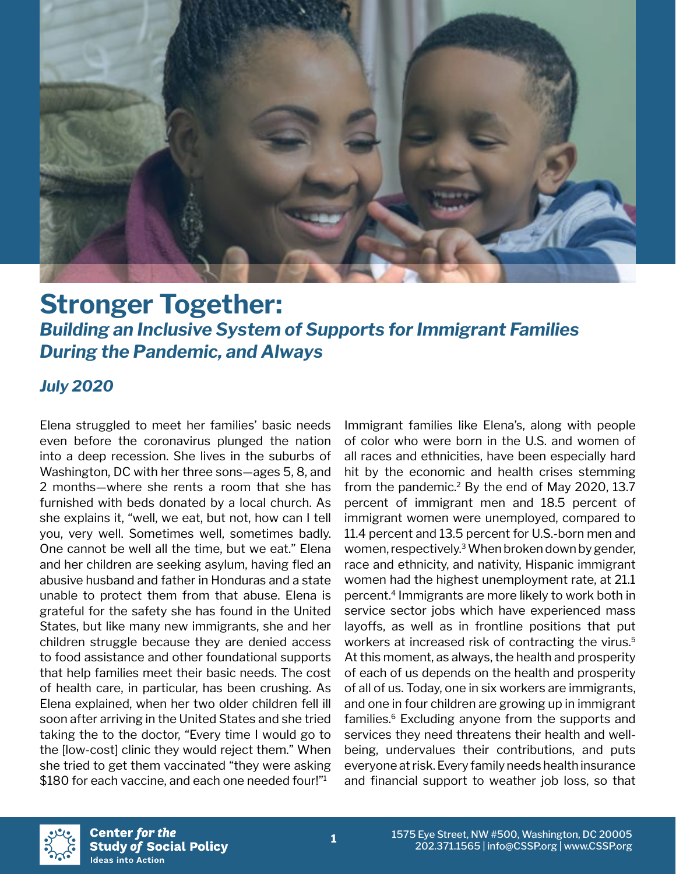

# **Stronger Together:**  *Building an Inclusive System of Supports for Immigrant Families During the Pandemic, and Always*

## *July 2020*

Elena struggled to meet her families' basic needs even before the coronavirus plunged the nation into a deep recession. She lives in the suburbs of Washington, DC with her three sons—ages 5, 8, and 2 months—where she rents a room that she has furnished with beds donated by a local church. As she explains it, "well, we eat, but not, how can I tell you, very well. Sometimes well, sometimes badly. One cannot be well all the time, but we eat." Elena and her children are seeking asylum, having fled an abusive husband and father in Honduras and a state unable to protect them from that abuse. Elena is grateful for the safety she has found in the United States, but like many new immigrants, she and her children struggle because they are denied access to food assistance and other foundational supports that help families meet their basic needs. The cost of health care, in particular, has been crushing. As Elena explained, when her two older children fell ill soon after arriving in the United States and she tried taking the to the doctor, "Every time I would go to the [low-cost] clinic they would reject them." When she tried to get them vaccinated "they were asking \$180 for each vaccine, and each one needed four!"<sup>1</sup>

Immigrant families like Elena's, along with people of color who were born in the U.S. and women of all races and ethnicities, have been especially hard hit by the economic and health crises stemming from the pandemic.<sup>2</sup> By the end of May 2020, 13.7 percent of immigrant men and 18.5 percent of immigrant women were unemployed, compared to 11.4 percent and 13.5 percent for U.S.-born men and women, respectively.<sup>3</sup> When broken down by gender, race and ethnicity, and nativity, Hispanic immigrant women had the highest unemployment rate, at 21.1 percent.4 Immigrants are more likely to work both in service sector jobs which have experienced mass layoffs, as well as in frontline positions that put workers at increased risk of contracting the virus.<sup>5</sup> At this moment, as always, the health and prosperity of each of us depends on the health and prosperity of all of us. Today, one in six workers are immigrants, and one in four children are growing up in immigrant families.<sup>6</sup> Excluding anyone from the supports and services they need threatens their health and wellbeing, undervalues their contributions, and puts everyone at risk. Every family needs health insurance and financial support to weather job loss, so that

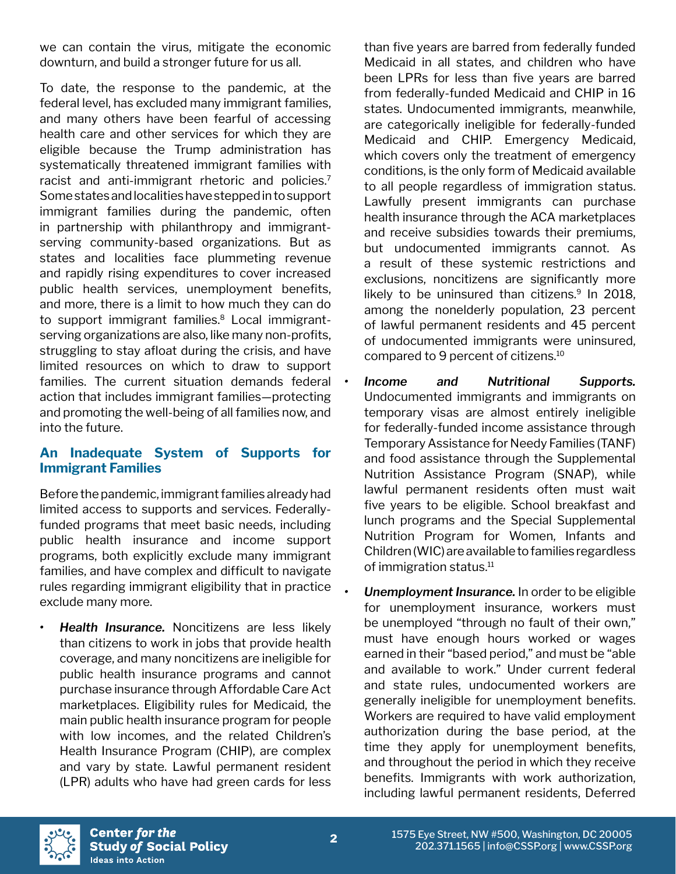we can contain the virus, mitigate the economic downturn, and build a stronger future for us all.

To date, the response to the pandemic, at the federal level, has excluded many immigrant families, and many others have been fearful of accessing health care and other services for which they are eligible because the Trump administration has systematically threatened immigrant families with racist and anti-immigrant rhetoric and policies.<sup>7</sup> Some states and localities have stepped in to support immigrant families during the pandemic, often in partnership with philanthropy and immigrantserving community-based organizations. But as states and localities face plummeting revenue and rapidly rising expenditures to cover increased public health services, unemployment benefits, and more, there is a limit to how much they can do to support immigrant families.<sup>8</sup> Local immigrantserving organizations are also, like many non-profits, struggling to stay afloat during the crisis, and have limited resources on which to draw to support families. The current situation demands federal action that includes immigrant families—protecting and promoting the well-being of all families now, and into the future.

### **An Inadequate System of Supports for Immigrant Families**

Before the pandemic, immigrant families already had limited access to supports and services. Federallyfunded programs that meet basic needs, including public health insurance and income support programs, both explicitly exclude many immigrant families, and have complex and difficult to navigate rules regarding immigrant eligibility that in practice exclude many more.

*• Health Insurance.* Noncitizens are less likely than citizens to work in jobs that provide health coverage, and many noncitizens are ineligible for public health insurance programs and cannot purchase insurance through Affordable Care Act marketplaces. Eligibility rules for Medicaid, the main public health insurance program for people with low incomes, and the related Children's Health Insurance Program (CHIP), are complex and vary by state. Lawful permanent resident (LPR) adults who have had green cards for less

than five years are barred from federally funded Medicaid in all states, and children who have been LPRs for less than five years are barred from federally-funded Medicaid and CHIP in 16 states. Undocumented immigrants, meanwhile, are categorically ineligible for federally-funded Medicaid and CHIP. Emergency Medicaid, which covers only the treatment of emergency conditions, is the only form of Medicaid available to all people regardless of immigration status. Lawfully present immigrants can purchase health insurance through the ACA marketplaces and receive subsidies towards their premiums, but undocumented immigrants cannot. As a result of these systemic restrictions and exclusions, noncitizens are significantly more likely to be uninsured than citizens. $9$  In 2018, among the nonelderly population, 23 percent of lawful permanent residents and 45 percent of undocumented immigrants were uninsured, compared to 9 percent of citizens.10

- *• Income and Nutritional Supports.*  Undocumented immigrants and immigrants on temporary visas are almost entirely ineligible for federally-funded income assistance through Temporary Assistance for Needy Families (TANF) and food assistance through the Supplemental Nutrition Assistance Program (SNAP), while lawful permanent residents often must wait five years to be eligible. School breakfast and lunch programs and the Special Supplemental Nutrition Program for Women, Infants and Children (WIC) are available to families regardless of immigration status.11
	- *• Unemployment Insurance.* In order to be eligible for unemployment insurance, workers must be unemployed "through no fault of their own," must have enough hours worked or wages earned in their "based period," and must be "able and available to work." Under current federal and state rules, undocumented workers are generally ineligible for unemployment benefits. Workers are required to have valid employment authorization during the base period, at the time they apply for unemployment benefits, and throughout the period in which they receive benefits. Immigrants with work authorization, including lawful permanent residents, Deferred

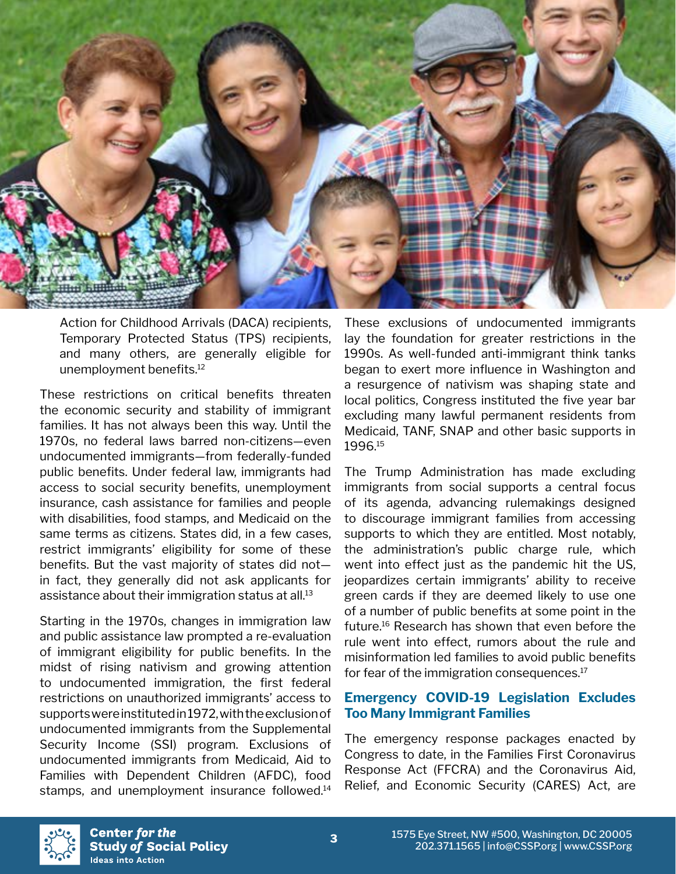

Action for Childhood Arrivals (DACA) recipients, Temporary Protected Status (TPS) recipients, and many others, are generally eligible for unemployment benefits.<sup>12</sup>

These restrictions on critical benefits threaten the economic security and stability of immigrant families. It has not always been this way. Until the 1970s, no federal laws barred non-citizens—even undocumented immigrants—from federally-funded public benefits. Under federal law, immigrants had access to social security benefits, unemployment insurance, cash assistance for families and people with disabilities, food stamps, and Medicaid on the same terms as citizens. States did, in a few cases, restrict immigrants' eligibility for some of these benefits. But the vast majority of states did not in fact, they generally did not ask applicants for assistance about their immigration status at all.13

Starting in the 1970s, changes in immigration law and public assistance law prompted a re-evaluation of immigrant eligibility for public benefits. In the midst of rising nativism and growing attention to undocumented immigration, the first federal restrictions on unauthorized immigrants' access to supports were instituted in 1972, with the exclusion of undocumented immigrants from the Supplemental Security Income (SSI) program. Exclusions of undocumented immigrants from Medicaid, Aid to Families with Dependent Children (AFDC), food stamps, and unemployment insurance followed.<sup>14</sup>

These exclusions of undocumented immigrants lay the foundation for greater restrictions in the 1990s. As well-funded anti-immigrant think tanks began to exert more influence in Washington and a resurgence of nativism was shaping state and local politics, Congress instituted the five year bar excluding many lawful permanent residents from Medicaid, TANF, SNAP and other basic supports in 1996.15

The Trump Administration has made excluding immigrants from social supports a central focus of its agenda, advancing rulemakings designed to discourage immigrant families from accessing supports to which they are entitled. Most notably, the administration's public charge rule, which went into effect just as the pandemic hit the US, jeopardizes certain immigrants' ability to receive green cards if they are deemed likely to use one of a number of public benefits at some point in the future.16 Research has shown that even before the rule went into effect, rumors about the rule and misinformation led families to avoid public benefits for fear of the immigration consequences.<sup>17</sup>

#### **Emergency COVID-19 Legislation Excludes Too Many Immigrant Families**

The emergency response packages enacted by Congress to date, in the Families First Coronavirus Response Act (FFCRA) and the Coronavirus Aid, Relief, and Economic Security (CARES) Act, are

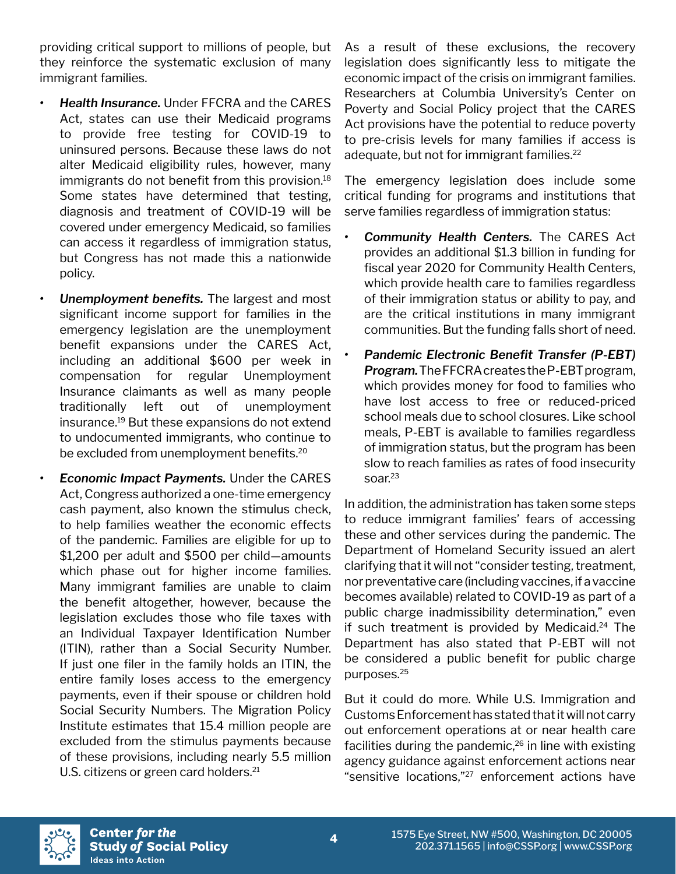providing critical support to millions of people, but they reinforce the systematic exclusion of many immigrant families.

- *• Health Insurance.* Under FFCRA and the CARES Act, states can use their Medicaid programs to provide free testing for COVID-19 to uninsured persons. Because these laws do not alter Medicaid eligibility rules, however, many immigrants do not benefit from this provision.<sup>18</sup> Some states have determined that testing, diagnosis and treatment of COVID-19 will be covered under emergency Medicaid, so families can access it regardless of immigration status, but Congress has not made this a nationwide policy.
- *• Unemployment benefits.* The largest and most significant income support for families in the emergency legislation are the unemployment benefit expansions under the CARES Act, including an additional \$600 per week in compensation for regular Unemployment Insurance claimants as well as many people traditionally left out of unemployment insurance.19 But these expansions do not extend to undocumented immigrants, who continue to be excluded from unemployment benefits.<sup>20</sup>
- *• Economic Impact Payments.* Under the CARES Act, Congress authorized a one-time emergency cash payment, also known the stimulus check, to help families weather the economic effects of the pandemic. Families are eligible for up to \$1,200 per adult and \$500 per child—amounts which phase out for higher income families. Many immigrant families are unable to claim the benefit altogether, however, because the legislation excludes those who file taxes with an Individual Taxpayer Identification Number (ITIN), rather than a Social Security Number. If just one filer in the family holds an ITIN, the entire family loses access to the emergency payments, even if their spouse or children hold Social Security Numbers. The Migration Policy Institute estimates that 15.4 million people are excluded from the stimulus payments because of these provisions, including nearly 5.5 million U.S. citizens or green card holders.<sup>21</sup>

As a result of these exclusions, the recovery legislation does significantly less to mitigate the economic impact of the crisis on immigrant families. Researchers at Columbia University's Center on Poverty and Social Policy project that the CARES Act provisions have the potential to reduce poverty to pre-crisis levels for many families if access is adequate, but not for immigrant families.<sup>22</sup>

The emergency legislation does include some critical funding for programs and institutions that serve families regardless of immigration status:

- *• Community Health Centers.* The CARES Act provides an additional \$1.3 billion in funding for fiscal year 2020 for Community Health Centers, which provide health care to families regardless of their immigration status or ability to pay, and are the critical institutions in many immigrant communities. But the funding falls short of need.
- *• Pandemic Electronic Benefit Transfer (P-EBT) Program.* The FFCRA creates the P-EBT program, which provides money for food to families who have lost access to free or reduced-priced school meals due to school closures. Like school meals, P-EBT is available to families regardless of immigration status, but the program has been slow to reach families as rates of food insecurity soar.<sup>23</sup>

In addition, the administration has taken some steps to reduce immigrant families' fears of accessing these and other services during the pandemic. The Department of Homeland Security issued an alert clarifying that it will not "consider testing, treatment, nor preventative care (including vaccines, if a vaccine becomes available) related to COVID-19 as part of a public charge inadmissibility determination," even if such treatment is provided by Medicaid. $24$  The Department has also stated that P-EBT will not be considered a public benefit for public charge purposes.25

But it could do more. While U.S. Immigration and Customs Enforcement has stated that it will not carry out enforcement operations at or near health care facilities during the pandemic,<sup>26</sup> in line with existing agency guidance against enforcement actions near "sensitive locations,"27 enforcement actions have

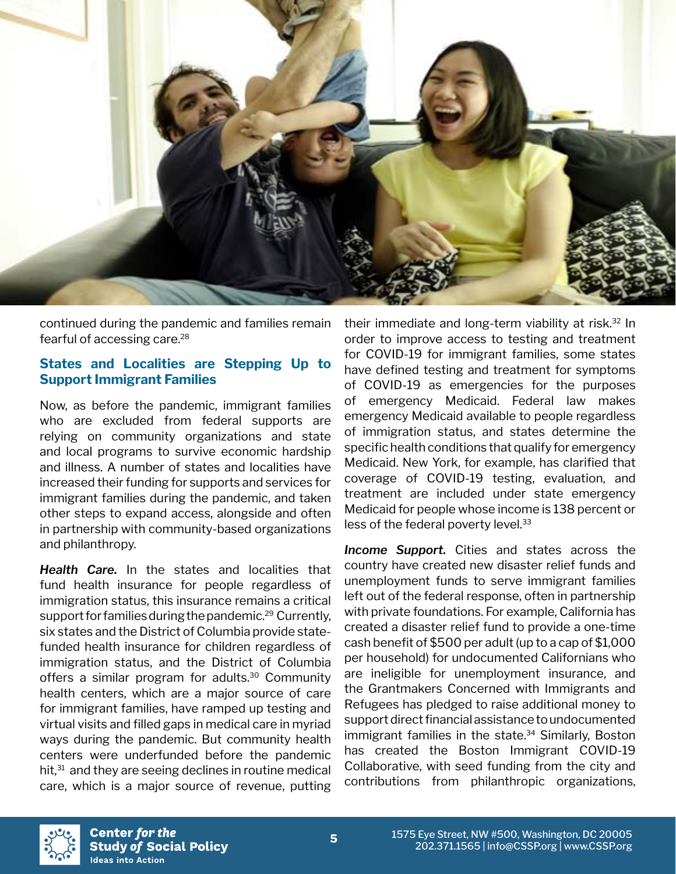

continued during the pandemic and families remain fearful of accessing care.<sup>28</sup>

#### **States and Localities are Stepping Up to Support Immigrant Families**

Now, as before the pandemic, immigrant families who are excluded from federal supports are relying on community organizations and state and local programs to survive economic hardship and illness. A number of states and localities have increased their funding for supports and services for immigrant families during the pandemic, and taken other steps to expand access, alongside and often in partnership with community-based organizations and philanthropy.

*Health Care.* In the states and localities that fund health insurance for people regardless of immigration status, this insurance remains a critical support for families during the pandemic.<sup>29</sup> Currently, six states and the District of Columbia provide statefunded health insurance for children regardless of immigration status, and the District of Columbia offers a similar program for adults.<sup>30</sup> Community health centers, which are a major source of care for immigrant families, have ramped up testing and virtual visits and filled gaps in medical care in myriad ways during the pandemic. But community health centers were underfunded before the pandemic hit,<sup>31</sup> and they are seeing declines in routine medical care, which is a major source of revenue, putting

their immediate and long-term viability at risk.32 In order to improve access to testing and treatment for COVID-19 for immigrant families, some states have defined testing and treatment for symptoms of COVID-19 as emergencies for the purposes of emergency Medicaid. Federal law makes emergency Medicaid available to people regardless of immigration status, and states determine the specific health conditions that qualify for emergency Medicaid. New York, for example, has clarified that coverage of COVID-19 testing, evaluation, and treatment are included under state emergency Medicaid for people whose income is 138 percent or less of the federal poverty level.<sup>33</sup>

*Income Support.* Cities and states across the country have created new disaster relief funds and unemployment funds to serve immigrant families left out of the federal response, often in partnership with private foundations. For example, California has created a disaster relief fund to provide a one-time cash benefit of \$500 per adult (up to a cap of \$1,000 per household) for undocumented Californians who are ineligible for unemployment insurance, and the Grantmakers Concerned with Immigrants and Refugees has pledged to raise additional money to support direct financial assistance to undocumented immigrant families in the state.<sup>34</sup> Similarly, Boston has created the Boston Immigrant COVID-19 Collaborative, with seed funding from the city and contributions from philanthropic organizations,

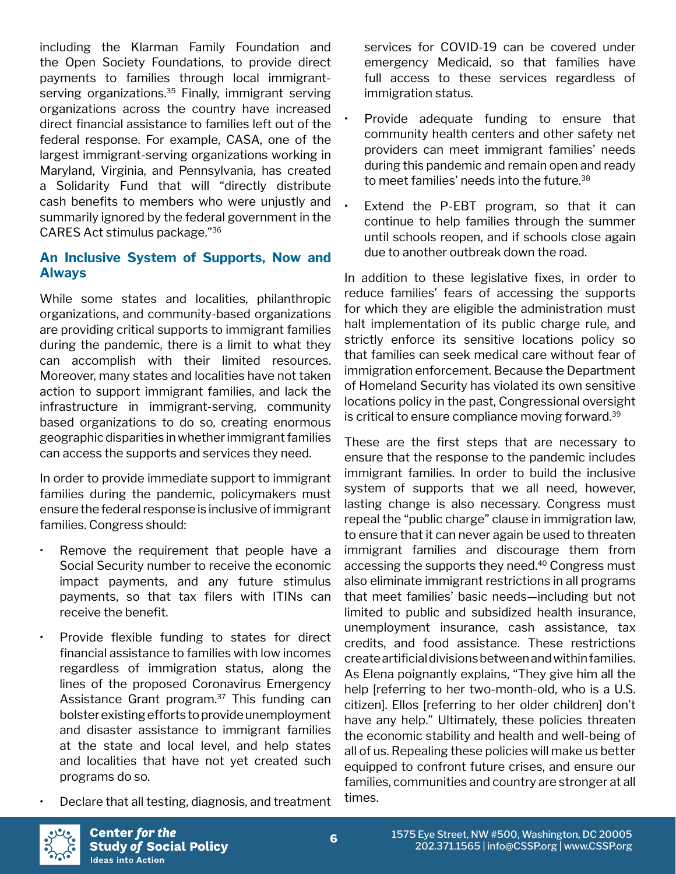including the Klarman Family Foundation and the Open Society Foundations, to provide direct payments to families through local immigrantserving organizations.<sup>35</sup> Finally, immigrant serving organizations across the country have increased direct financial assistance to families left out of the federal response. For example, CASA, one of the largest immigrant-serving organizations working in Maryland, Virginia, and Pennsylvania, has created a Solidarity Fund that will "directly distribute cash benefits to members who were unjustly and summarily ignored by the federal government in the CARES Act stimulus package."36

### **An Inclusive System of Supports, Now and Always**

While some states and localities, philanthropic organizations, and community-based organizations are providing critical supports to immigrant families during the pandemic, there is a limit to what they can accomplish with their limited resources. Moreover, many states and localities have not taken action to support immigrant families, and lack the infrastructure in immigrant-serving, community based organizations to do so, creating enormous geographic disparities in whether immigrant families can access the supports and services they need.

In order to provide immediate support to immigrant families during the pandemic, policymakers must ensure the federal response is inclusive of immigrant families. Congress should:

- Remove the requirement that people have a Social Security number to receive the economic impact payments, and any future stimulus payments, so that tax filers with ITINs can receive the benefit.
- Provide flexible funding to states for direct financial assistance to families with low incomes regardless of immigration status, along the lines of the proposed Coronavirus Emergency Assistance Grant program.37 This funding can bolster existing efforts to provide unemployment and disaster assistance to immigrant families at the state and local level, and help states and localities that have not yet created such programs do so.
- Declare that all testing, diagnosis, and treatment

services for COVID-19 can be covered under emergency Medicaid, so that families have full access to these services regardless of immigration status.

- Provide adequate funding to ensure that community health centers and other safety net providers can meet immigrant families' needs during this pandemic and remain open and ready to meet families' needs into the future.<sup>38</sup>
- Extend the P-EBT program, so that it can continue to help families through the summer until schools reopen, and if schools close again due to another outbreak down the road.

In addition to these legislative fixes, in order to reduce families' fears of accessing the supports for which they are eligible the administration must halt implementation of its public charge rule, and strictly enforce its sensitive locations policy so that families can seek medical care without fear of immigration enforcement. Because the Department of Homeland Security has violated its own sensitive locations policy in the past, Congressional oversight is critical to ensure compliance moving forward.<sup>39</sup>

These are the first steps that are necessary to ensure that the response to the pandemic includes immigrant families. In order to build the inclusive system of supports that we all need, however, lasting change is also necessary. Congress must repeal the "public charge" clause in immigration law, to ensure that it can never again be used to threaten immigrant families and discourage them from accessing the supports they need.<sup>40</sup> Congress must also eliminate immigrant restrictions in all programs that meet families' basic needs—including but not limited to public and subsidized health insurance, unemployment insurance, cash assistance, tax credits, and food assistance. These restrictions create artificial divisions between and within families. As Elena poignantly explains, "They give him all the help [referring to her two-month-old, who is a U.S. citizen]. Ellos [referring to her older children] don't have any help." Ultimately, these policies threaten the economic stability and health and well-being of all of us. Repealing these policies will make us better equipped to confront future crises, and ensure our families, communities and country are stronger at all times.

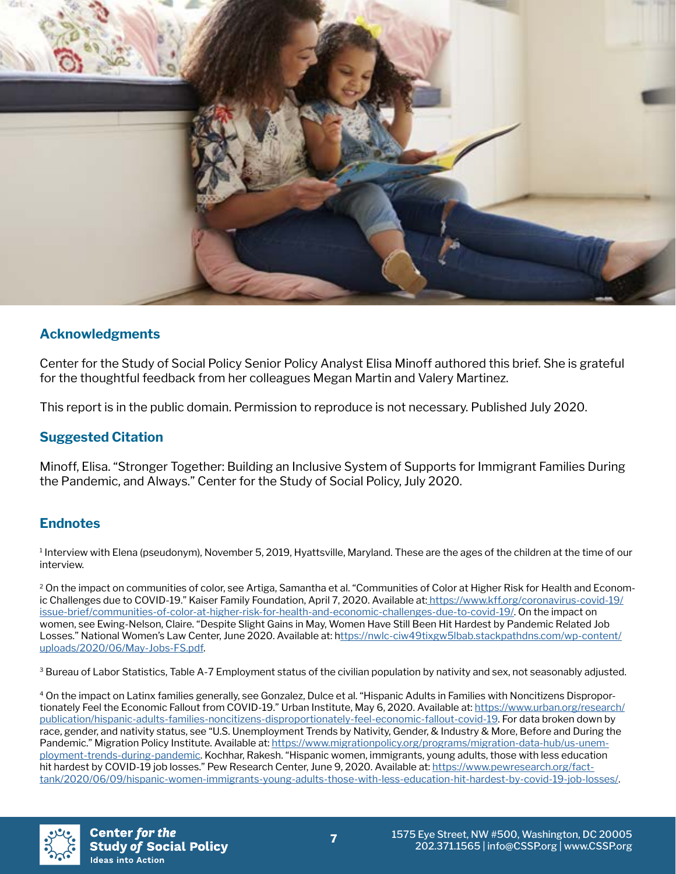

#### **Acknowledgments**

Center for the Study of Social Policy Senior Policy Analyst Elisa Minoff authored this brief. She is grateful for the thoughtful feedback from her colleagues Megan Martin and Valery Martinez.

This report is in the public domain. Permission to reproduce is not necessary. Published July 2020.

#### **Suggested Citation**

Minoff, Elisa. "Stronger Together: Building an Inclusive System of Supports for Immigrant Families During the Pandemic, and Always." Center for the Study of Social Policy, July 2020.

#### **Endnotes**

1 Interview with Elena (pseudonym), November 5, 2019, Hyattsville, Maryland. These are the ages of the children at the time of our interview.

<sup>2</sup> On the impact on communities of color, see Artiga, Samantha et al. "Communities of Color at Higher Risk for Health and Econom-ic Challenges due to COVID-19." Kaiser Family Foundation, April 7, 2020. Available at[: https://www.kff.org/coronavirus-covid-19/]( https://www.kff.org/coronavirus-covid-19/issue-brief/communities-of-color-at-higher-risk-for-health) [issue-brief/communities-of-color-at-higher-risk-for-health-and-economic-challenges-due-to-covid-19/.]( https://www.kff.org/coronavirus-covid-19/issue-brief/communities-of-color-at-higher-risk-for-health) On the impact on women, see Ewing-Nelson, Claire. "Despite Slight Gains in May, Women Have Still Been Hit Hardest by Pandemic Related Job Losses." National Women's Law Center, June 2020. Available at: [https://nwlc-ciw49tixgw5lbab.stackpathdns.com/wp-content/](ttps://nwlc-ciw49tixgw5lbab.stackpathdns.com/wp-content/uploads/2020/06/May-Jobs-FS.pdf) [uploads/2020/06/May-Jobs-FS.pdf](ttps://nwlc-ciw49tixgw5lbab.stackpathdns.com/wp-content/uploads/2020/06/May-Jobs-FS.pdf).

<sup>3</sup> Bureau of Labor Statistics, Table A-7 Employment status of the civilian population by nativity and sex, not seasonably adjusted.

4 On the impact on Latinx families generally, see Gonzalez, Dulce et al. "Hispanic Adults in Families with Noncitizens Disproportionately Feel the Economic Fallout from COVID-19." Urban Institute, May 6, 2020. Available at: [https://www.urban.org/research/](https://www.urban.org/research/publication/hispanic-adults-families-noncitizens-disproportionately-f) [publication/hispanic-adults-families-noncitizens-disproportionately-feel-economic-fallout-covid-19](https://www.urban.org/research/publication/hispanic-adults-families-noncitizens-disproportionately-f). For data broken down by race, gender, and nativity status, see "U.S. Unemployment Trends by Nativity, Gender, & Industry & More, Before and During the Pandemic." Migration Policy Institute. Available at: [https://www.migrationpolicy.org/programs/migration-data-hub/us-unem](https://www.migrationpolicy.org/programs/migration-data-hub/us-unemployment-trends-during-pandemic)[ployment-trends-during-pandemic.](https://www.migrationpolicy.org/programs/migration-data-hub/us-unemployment-trends-during-pandemic) Kochhar, Rakesh. "Hispanic women, immigrants, young adults, those with less education hit hardest by COVID-19 job losses." Pew Research Center, June 9, 2020. Available at: [https://www.pewresearch.org/fact](https://www.pewresearch.org/fact-tank/2020/06/09/hispanic-women-immigrants-young-adults-those-with-l)[tank/2020/06/09/hispanic-women-immigrants-young-adults-those-with-less-education-hit-hardest-by-covid-19-job-losses/](https://www.pewresearch.org/fact-tank/2020/06/09/hispanic-women-immigrants-young-adults-those-with-l).

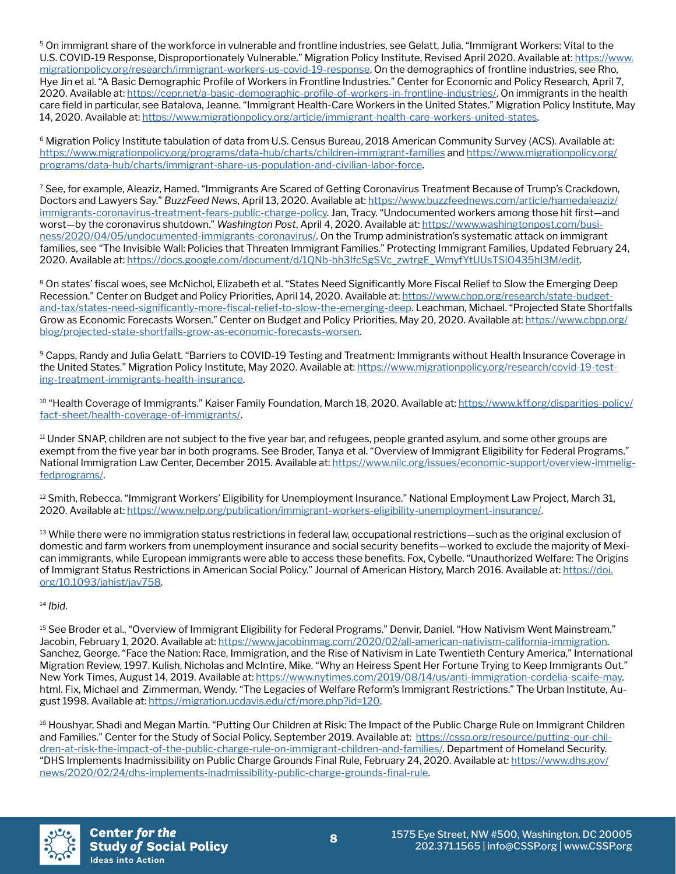5 On immigrant share of the workforce in vulnerable and frontline industries, see Gelatt, Julia. "Immigrant Workers: Vital to the U.S. COVID-19 Response, Disproportionately Vulnerable." Migration Policy Institute, Revised April 2020. Available at: [https://www.](https://www.migrationpolicy.org/research/immigrant-workers-us-covid-19-response) [migrationpolicy.org/research/immigrant-workers-us-covid-19-response](https://www.migrationpolicy.org/research/immigrant-workers-us-covid-19-response). On the demographics of frontline industries, see Rho, Hye Jin et al. "A Basic Demographic Profile of Workers in Frontline Industries." Center for Economic and Policy Research, April 7, 2020. Available at: <https://cepr.net/a-basic-demographic-profile-of-workers-in-frontline-industries/>. On immigrants in the health care field in particular, see Batalova, Jeanne. "Immigrant Health-Care Workers in the United States." Migration Policy Institute, May 14, 2020. Available at: [https://www.migrationpolicy.org/article/immigrant-health-care-workers-united-states.](https://www.migrationpolicy.org/article/immigrant-health-care-workers-united-states)

<sup>6</sup> Migration Policy Institute tabulation of data from U.S. Census Bureau, 2018 American Community Survey (ACS). Available at: <https://www.migrationpolicy.org/programs/data-hub/charts/children-immigrant-families> and [https://www.migrationpolicy.org/](https://www.migrationpolicy.org/programs/data-hub/charts/immigrant-share-us-population-and-civilian-) [programs/data-hub/charts/immigrant-share-us-population-and-civilian-labor-force.](https://www.migrationpolicy.org/programs/data-hub/charts/immigrant-share-us-population-and-civilian-)

<sup>7</sup> See, for example, Aleaziz, Hamed. "Immigrants Are Scared of Getting Coronavirus Treatment Because of Trump's Crackdown, Doctors and Lawyers Say." *BuzzFeed News*, April 13, 2020. Available at: [https://www.buzzfeednews.com/article/hamedaleaziz/](https://www.buzzfeednews.com/article/hamedaleaziz/immigrants-coronavirus-treatment-fears-public-char) [immigrants-coronavirus-treatment-fears-public-charge-policy](https://www.buzzfeednews.com/article/hamedaleaziz/immigrants-coronavirus-treatment-fears-public-char). Jan, Tracy. "Undocumented workers among those hit first—and worst—by the coronavirus shutdown." *Washington Post*, April 4, 2020. Available at: [https://www.washingtonpost.com/busi](https://www.washingtonpost.com/business/2020/04/05/undocumented-immigrants-coronavirus/)[ness/2020/04/05/undocumented-immigrants-coronavirus/](https://www.washingtonpost.com/business/2020/04/05/undocumented-immigrants-coronavirus/). On the Trump administration's systematic attack on immigrant families, see "The Invisible Wall: Policies that Threaten Immigrant Families." Protecting Immigrant Families, Updated February 24, 2020. Available at: [https://docs.google.com/document/d/1QNb-bh3lfcSgSVc\\_zwtrgE\\_WmyfYtUUsTSlO435hI3M/edit](https://docs.google.com/document/d/1QNb-bh3lfcSgSVc_zwtrgE_WmyfYtUUsTSlO435hI3M/edit).

<sup>8</sup> On states' fiscal woes, see McNichol, Elizabeth et al. "States Need Significantly More Fiscal Relief to Slow the Emerging Deep Recession." Center on Budget and Policy Priorities, April 14, 2020. Available at: [https://www.cbpp.org/research/state-budget](https://www.cbpp.org/research/state-budget-and-tax/states-need-significantly-more-fiscal-relief-to-s)[and-tax/states-need-significantly-more-fiscal-relief-to-slow-the-emerging-deep](https://www.cbpp.org/research/state-budget-and-tax/states-need-significantly-more-fiscal-relief-to-s). Leachman, Michael. "Projected State Shortfalls Grow as Economic Forecasts Worsen." Center on Budget and Policy Priorities, May 20, 2020. Available at: [https://www.cbpp.org/](https://www.cbpp.org/blog/projected-state-shortfalls-grow-as-economic-forecasts-worsen) [blog/projected-state-shortfalls-grow-as-economic-forecasts-worsen.](https://www.cbpp.org/blog/projected-state-shortfalls-grow-as-economic-forecasts-worsen)

9 Capps, Randy and Julia Gelatt. "Barriers to COVID-19 Testing and Treatment: Immigrants without Health Insurance Coverage in the United States." Migration Policy Institute, May 2020. Available at: [https://www.migrationpolicy.org/research/covid-19-test](https://www.migrationpolicy.org/research/covid-19-testing-treatment-immigrants-health-insurance)[ing-treatment-immigrants-health-insurance](https://www.migrationpolicy.org/research/covid-19-testing-treatment-immigrants-health-insurance).

<sup>10</sup> "Health Coverage of Immigrants." Kaiser Family Foundation, March 18, 2020. Available at: [https://www.kff.org/disparities-policy/](https://www.kff.org/disparities-policy/fact-sheet/health-coverage-of-immigrants/) [fact-sheet/health-coverage-of-immigrants/.](https://www.kff.org/disparities-policy/fact-sheet/health-coverage-of-immigrants/)

<sup>11</sup> Under SNAP, children are not subject to the five year bar, and refugees, people granted asylum, and some other groups are exempt from the five year bar in both programs. See Broder, Tanya et al. "Overview of Immigrant Eligibility for Federal Programs." National Immigration Law Center, December 2015. Available at: [https://www.nilc.org/issues/economic-support/overview-immelig](https://www.nilc.org/issues/economic-support/overview-immeligfedprograms/)[fedprograms/.](https://www.nilc.org/issues/economic-support/overview-immeligfedprograms/)

<sup>12</sup> Smith, Rebecca. "Immigrant Workers' Eligibility for Unemployment Insurance." National Employment Law Project, March 31, 2020. Available at:<https://www.nelp.org/publication/immigrant-workers-eligibility-unemployment-insurance/>.

13 While there were no immigration status restrictions in federal law, occupational restrictions—such as the original exclusion of domestic and farm workers from unemployment insurance and social security benefits—worked to exclude the majority of Mexican immigrants, while European immigrants were able to access these benefits. Fox, Cybelle. "Unauthorized Welfare: The Origins of Immigrant Status Restrictions in American Social Policy." Journal of American History, March 2016. Available at: [https://doi.](https://doi.org/10.1093/jahist/jav758) [org/10.1093/jahist/jav758.](https://doi.org/10.1093/jahist/jav758)

#### <sup>14</sup> *Ibid*.

<sup>15</sup> See Broder et al., "Overview of Immigrant Eligibility for Federal Programs." Denvir, Daniel. "How Nativism Went Mainstream." Jacobin, February 1, 2020. Available at: <https://www.jacobinmag.com/2020/02/all-american-nativism-california-immigration>. Sanchez, George. "Face the Nation: Race, Immigration, and the Rise of Nativism in Late Twentieth Century America," International Migration Review, 1997. Kulish, Nicholas and McIntire, Mike. "Why an Heiress Spent Her Fortune Trying to Keep Immigrants Out." New York Times, August 14, 2019. Available at: [https://www.nytimes.com/2019/08/14/us/anti-immigration-cordelia-scaife-may.](https://www.nytimes.com/2019/08/14/us/anti-immigration-cordelia-scaife-may) html. Fix, Michael and Zimmerman, Wendy. "The Legacies of Welfare Reform's Immigrant Restrictions." The Urban Institute, August 1998. Available at: <https://migration.ucdavis.edu/cf/more.php?id=120>.

<sup>16</sup> Houshyar, Shadi and Megan Martin. "Putting Our Children at Risk: The Impact of the Public Charge Rule on Immigrant Children and Families." Center for the Study of Social Policy, September 2019. Available at: [https://cssp.org/resource/putting-our-chil](https://cssp.org/resource/putting-our-children-at-risk-the-impact-of-the-public-charge-rule-on-immig)[dren-at-risk-the-impact-of-the-public-charge-rule-on-immigrant-children-and-families/](https://cssp.org/resource/putting-our-children-at-risk-the-impact-of-the-public-charge-rule-on-immig). Department of Homeland Security. "DHS Implements Inadmissibility on Public Charge Grounds Final Rule, February 24, 2020. Available at: [https://www.dhs.gov/](https://www.dhs.gov/news/2020/02/24/dhs-implements-inadmissibility-public-charge-grounds-final-rule) [news/2020/02/24/dhs-implements-inadmissibility-public-charge-grounds-final-rule](https://www.dhs.gov/news/2020/02/24/dhs-implements-inadmissibility-public-charge-grounds-final-rule).

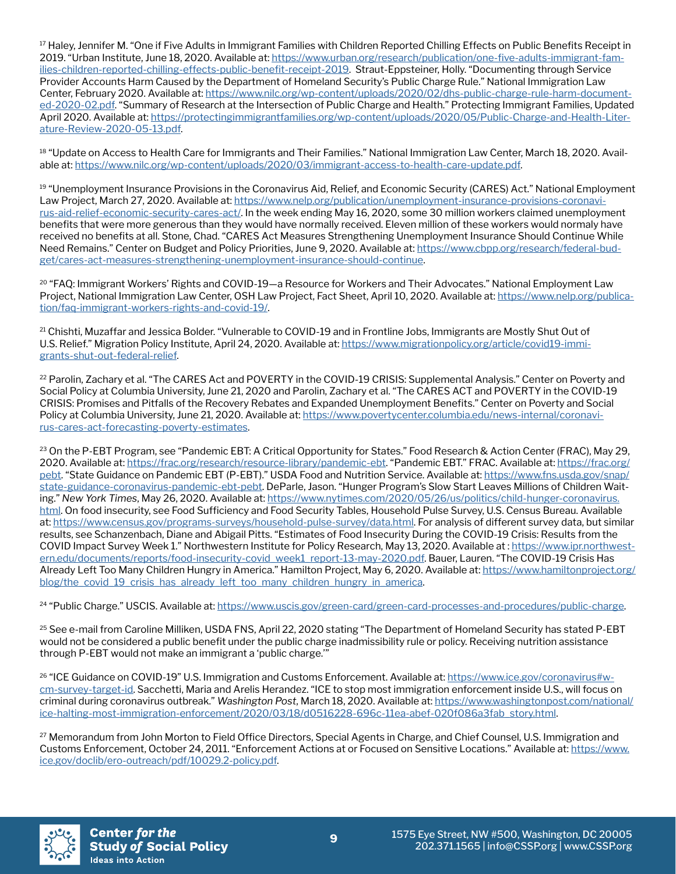<sup>17</sup> Haley, Jennifer M. "One if Five Adults in Immigrant Families with Children Reported Chilling Effects on Public Benefits Receipt in 2019. "Urban Institute, June 18, 2020. Available at: [https://www.urban.org/research/publication/one-five-adults-immigrant-fam](https://www.urban.org/research/publication/one-five-adults-immigrant-families-children-reported-chil)[ilies-children-reported-chilling-effects-public-benefit-receipt-2019](https://www.urban.org/research/publication/one-five-adults-immigrant-families-children-reported-chil). Straut-Eppsteiner, Holly. "Documenting through Service Provider Accounts Harm Caused by the Department of Homeland Security's Public Charge Rule." National Immigration Law Center, February 2020. Available at: [https://www.nilc.org/wp-content/uploads/2020/02/dhs-public-charge-rule-harm-document](https://www.nilc.org/wp-content/uploads/2020/02/dhs-public-charge-rule-harm-documented-2020-02.pdf)[ed-2020-02.pdf.](https://www.nilc.org/wp-content/uploads/2020/02/dhs-public-charge-rule-harm-documented-2020-02.pdf) "Summary of Research at the Intersection of Public Charge and Health." Protecting Immigrant Families, Updated April 2020. Available at: [https://protectingimmigrantfamilies.org/wp-content/uploads/2020/05/Public-Charge-and-Health-Liter](https://protectingimmigrantfamilies.org/wp-content/uploads/2020/05/Public-Charge-and-Health-Literatu)[ature-Review-2020-05-13.pdf.](https://protectingimmigrantfamilies.org/wp-content/uploads/2020/05/Public-Charge-and-Health-Literatu)

<sup>18</sup> "Update on Access to Health Care for Immigrants and Their Families." National Immigration Law Center, March 18, 2020. Available at: [https://www.nilc.org/wp-content/uploads/2020/03/immigrant-access-to-health-care-update.pdf.](https://www.nilc.org/wp-content/uploads/2020/03/immigrant-access-to-health-care-update.pdf)

19 "Unemployment Insurance Provisions in the Coronavirus Aid, Relief, and Economic Security (CARES) Act." National Employment Law Project, March 27, 2020. Available at: [https://www.nelp.org/publication/unemployment-insurance-provisions-coronavi](https://www.nelp.org/publication/unemployment-insurance-provisions-coronavirus-aid-relief-economic-s)[rus-aid-relief-economic-security-cares-act/](https://www.nelp.org/publication/unemployment-insurance-provisions-coronavirus-aid-relief-economic-s). In the week ending May 16, 2020, some 30 million workers claimed unemployment benefits that were more generous than they would have normally received. Eleven million of these workers would normaly have received no benefits at all. Stone, Chad. "CARES Act Measures Strengthening Unemployment Insurance Should Continue While Need Remains." Center on Budget and Policy Priorities, June 9, 2020. Available at: [https://www.cbpp.org/research/federal-bud](https://www.cbpp.org/research/federal-budget/cares-act-measures-strengthening-unemployment-insurance)[get/cares-act-measures-strengthening-unemployment-insurance-should-continue.](https://www.cbpp.org/research/federal-budget/cares-act-measures-strengthening-unemployment-insurance)

<sup>20</sup> "FAQ: Immigrant Workers' Rights and COVID-19-a Resource for Workers and Their Advocates." National Employment Law Project, National Immigration Law Center, OSH Law Project, Fact Sheet, April 10, 2020. Available at: [https://www.nelp.org/publica](https://www.nelp.org/publication/faq-immigrant-workers-rights-and-covid-19/)[tion/faq-immigrant-workers-rights-and-covid-19/.](https://www.nelp.org/publication/faq-immigrant-workers-rights-and-covid-19/)

<sup>21</sup> Chishti, Muzaffar and Jessica Bolder. "Vulnerable to COVID-19 and in Frontline Jobs, Immigrants are Mostly Shut Out of U.S. Relief." Migration Policy Institute, April 24, 2020. Available at: [https://www.migrationpolicy.org/article/covid19-immi](https://www.migrationpolicy.org/article/covid19-immigrants-shut-out-federal-relief)[grants-shut-out-federal-relief](https://www.migrationpolicy.org/article/covid19-immigrants-shut-out-federal-relief).

<sup>22</sup> Parolin, Zachary et al. "The CARES Act and POVERTY in the COVID-19 CRISIS: Supplemental Analysis." Center on Poverty and Social Policy at Columbia University, June 21, 2020 and Parolin, Zachary et al. "The CARES ACT and POVERTY in the COVID-19 CRISIS: Promises and Pitfalls of the Recovery Rebates and Expanded Unemployment Benefits." Center on Poverty and Social Policy at Columbia University, June 21, 2020. Available at: [https://www.povertycenter.columbia.edu/news-internal/coronavi](https://www.povertycenter.columbia.edu/news-internal/coronavirus-cares-act-forecasting-poverty-estim)[rus-cares-act-forecasting-poverty-estimates](https://www.povertycenter.columbia.edu/news-internal/coronavirus-cares-act-forecasting-poverty-estim).

<sup>23</sup> On the P-EBT Program, see "Pandemic EBT: A Critical Opportunity for States." Food Research & Action Center (FRAC), May 29, 2020. Available at: [https://frac.org/research/resource-library/pandemic-ebt.](https://frac.org/research/resource-library/pandemic-ebt) "Pandemic EBT." FRAC. Available at: [https://frac.org/](https://frac.org/pebt) [pebt](https://frac.org/pebt). "State Guidance on Pandemic EBT (P-EBT)." USDA Food and Nutrition Service. Available at: [https://www.fns.usda.gov/snap/](https://www.fns.usda.gov/snap/state-guidance-coronavirus-pandemic-ebt-pebt) [state-guidance-coronavirus-pandemic-ebt-pebt.](https://www.fns.usda.gov/snap/state-guidance-coronavirus-pandemic-ebt-pebt) DeParle, Jason. "Hunger Program's Slow Start Leaves Millions of Children Waiting." *New York Times*, May 26, 2020. Available at: [https://www.nytimes.com/2020/05/26/us/politics/child-hunger-coronavirus.](https://www.nytimes.com/2020/05/26/us/politics/child-hunger-coronavirus.html) [html](https://www.nytimes.com/2020/05/26/us/politics/child-hunger-coronavirus.html). On food insecurity, see Food Sufficiency and Food Security Tables, Household Pulse Survey, U.S. Census Bureau. Available at: [https://www.census.gov/programs-surveys/household-pulse-survey/data.html.](https://www.census.gov/programs-surveys/household-pulse-survey/data.html) For analysis of different survey data, but similar results, see Schanzenbach, Diane and Abigail Pitts. "Estimates of Food Insecurity During the COVID-19 Crisis: Results from the COVID Impact Survey Week 1." Northwestern Institute for Policy Research, May 13, 2020. Available at : [https://www.ipr.northwest](https://www.ipr.northwestern.edu/documents/reports/food-insecurity-covid_week1_report-13-may-2020.pd)[ern.edu/documents/reports/food-insecurity-covid\\_week1\\_report-13-may-2020.pdf](https://www.ipr.northwestern.edu/documents/reports/food-insecurity-covid_week1_report-13-may-2020.pd). Bauer, Lauren. "The COVID-19 Crisis Has Already Left Too Many Children Hungry in America." Hamilton Project, May 6, 2020. Available at: [https://www.hamiltonproject.org/](https://www.hamiltonproject.org/blog/the_covid_19_crisis_has_already_left_too_many_children_hungry_i) [blog/the\\_covid\\_19\\_crisis\\_has\\_already\\_left\\_too\\_many\\_children\\_hungry\\_in\\_america](https://www.hamiltonproject.org/blog/the_covid_19_crisis_has_already_left_too_many_children_hungry_i).

<sup>24</sup> "Public Charge." USCIS. Available at: <https://www.uscis.gov/green-card/green-card-processes-and-procedures/public-charge>.

<sup>25</sup> See e-mail from Caroline Milliken, USDA FNS, April 22, 2020 stating "The Department of Homeland Security has stated P-EBT would not be considered a public benefit under the public charge inadmissibility rule or policy. Receiving nutrition assistance through P-EBT would not make an immigrant a 'public charge.'"

26 "ICE Guidance on COVID-19" U.S. Immigration and Customs Enforcement. Available at: [https://www.ice.gov/coronavirus#w](https://www.ice.gov/coronavirus#wcm-survey-target-id)[cm-survey-target-id.](https://www.ice.gov/coronavirus#wcm-survey-target-id) Sacchetti, Maria and Arelis Herandez. "ICE to stop most immigration enforcement inside U.S., will focus on criminal during coronavirus outbreak." *Washington Post*, March 18, 2020. Available at: [https://www.washingtonpost.com/national/](https://www.washingtonpost.com/national/ice-halting-most-immigration-enforcement/2020/03/18/d0516228) [ice-halting-most-immigration-enforcement/2020/03/18/d0516228-696c-11ea-abef-020f086a3fab\\_story.html.](https://www.washingtonpost.com/national/ice-halting-most-immigration-enforcement/2020/03/18/d0516228)

<sup>27</sup> Memorandum from John Morton to Field Office Directors, Special Agents in Charge, and Chief Counsel, U.S. Immigration and Customs Enforcement, October 24, 2011. "Enforcement Actions at or Focused on Sensitive Locations." Available at: [https://www.](https://www.ice.gov/doclib/ero-outreach/pdf/10029.2-policy.pdf) [ice.gov/doclib/ero-outreach/pdf/10029.2-policy.pdf.](https://www.ice.gov/doclib/ero-outreach/pdf/10029.2-policy.pdf)